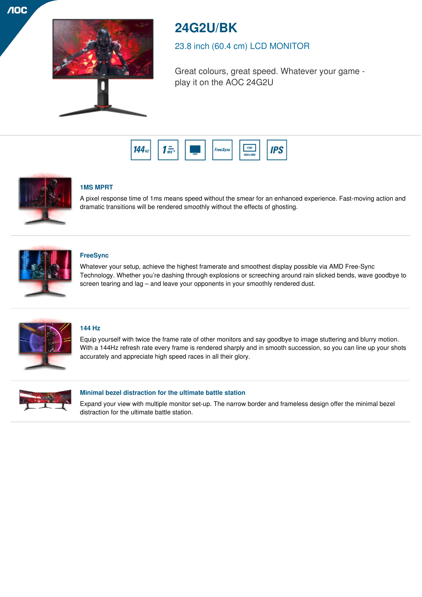



# **24G2U/BK**

23.8 inch (60.4 cm) LCD MONITOR

Great colours, great speed. Whatever your game play it on the AOC 24G2U





# **1MS MPRT**

A pixel response time of 1ms means speed without the smear for an enhanced experience. Fast-moving action and dramatic transitions will be rendered smoothly without the effects of ghosting.



# **FreeSync**

Whatever your setup, achieve the highest framerate and smoothest display possible via AMD Free-Sync Technology. Whether you're dashing through explosions or screeching around rain slicked bends, wave goodbye to screen tearing and lag – and leave your opponents in your smoothly rendered dust.



## **144 Hz**

Equip yourself with twice the frame rate of other monitors and say goodbye to image stuttering and blurry motion. With a 144Hz refresh rate every frame is rendered sharply and in smooth succession, so you can line up your shots accurately and appreciate high speed races in all their glory.



## **Minimal bezel distraction for the ultimate battle station**

Expand your view with multiple monitor set-up. The narrow border and frameless design offer the minimal bezel distraction for the ultimate battle station.